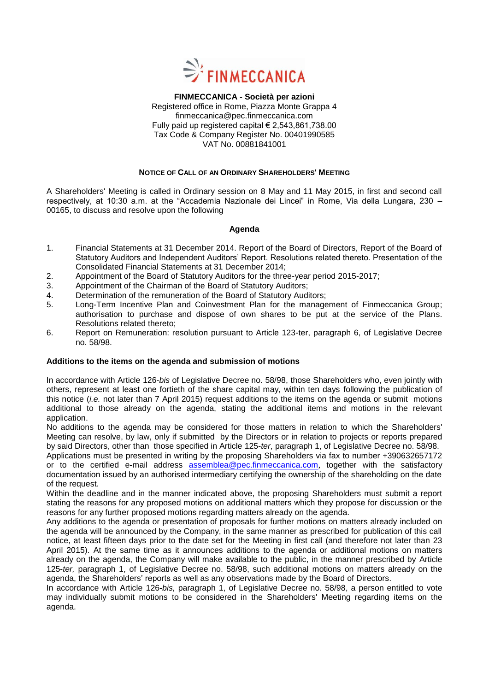

### **FINMECCANICA - Società per azioni** Registered office in Rome, Piazza Monte Grappa 4 finmeccanica@pec.finmeccanica.com Fully paid up registered capital € 2,543,861,738.00 Tax Code & Company Register No. 00401990585 VAT No. 00881841001

# **NOTICE OF CALL OF AN ORDINARY SHAREHOLDERS' MEETING**

A Shareholders' Meeting is called in Ordinary session on 8 May and 11 May 2015, in first and second call respectively, at 10:30 a.m. at the "Accademia Nazionale dei Lincei" in Rome, Via della Lungara, 230 – 00165, to discuss and resolve upon the following

### **Agenda**

- 1. Financial Statements at 31 December 2014. Report of the Board of Directors, Report of the Board of Statutory Auditors and Independent Auditors' Report. Resolutions related thereto. Presentation of the Consolidated Financial Statements at 31 December 2014;
- 2. Appointment of the Board of Statutory Auditors for the three-year period 2015-2017;
- 3. Appointment of the Chairman of the Board of Statutory Auditors;
- 4. Determination of the remuneration of the Board of Statutory Auditors;
- 5. Long-Term Incentive Plan and Coinvestment Plan for the management of Finmeccanica Group; authorisation to purchase and dispose of own shares to be put at the service of the Plans. Resolutions related thereto;
- 6. Report on Remuneration: resolution pursuant to Article 123-ter, paragraph 6, of Legislative Decree no. 58/98.

#### **Additions to the items on the agenda and submission of motions**

In accordance with Article 126-*bis* of Legislative Decree no. 58/98, those Shareholders who, even jointly with others, represent at least one fortieth of the share capital may, within ten days following the publication of this notice (*i.e.* not later than 7 April 2015) request additions to the items on the agenda or submit motions additional to those already on the agenda, stating the additional items and motions in the relevant application.

No additions to the agenda may be considered for those matters in relation to which the Shareholders' Meeting can resolve, by law, only if submitted by the Directors or in relation to projects or reports prepared by said Directors, other than those specified in Article 125-*ter*, paragraph 1, of Legislative Decree no. 58/98.

Applications must be presented in writing by the proposing Shareholders via fax to number +390632657172 or to the certified e-mail address [assemblea@pec.finmeccanica.com](mailto:assemblea@pec.finmeccanica.com), together with the satisfactory documentation issued by an authorised intermediary certifying the ownership of the shareholding on the date of the request.

Within the deadline and in the manner indicated above, the proposing Shareholders must submit a report stating the reasons for any proposed motions on additional matters which they propose for discussion or the reasons for any further proposed motions regarding matters already on the agenda.

Any additions to the agenda or presentation of proposals for further motions on matters already included on the agenda will be announced by the Company, in the same manner as prescribed for publication of this call notice, at least fifteen days prior to the date set for the Meeting in first call (and therefore not later than 23 April 2015). At the same time as it announces additions to the agenda or additional motions on matters already on the agenda, the Company will make available to the public, in the manner prescribed by Article 125-*ter,* paragraph 1, of Legislative Decree no. 58/98, such additional motions on matters already on the agenda, the Shareholders' reports as well as any observations made by the Board of Directors.

In accordance with Article 126-*bis,* paragraph 1, of Legislative Decree no. 58/98, a person entitled to vote may individually submit motions to be considered in the Shareholders' Meeting regarding items on the agenda.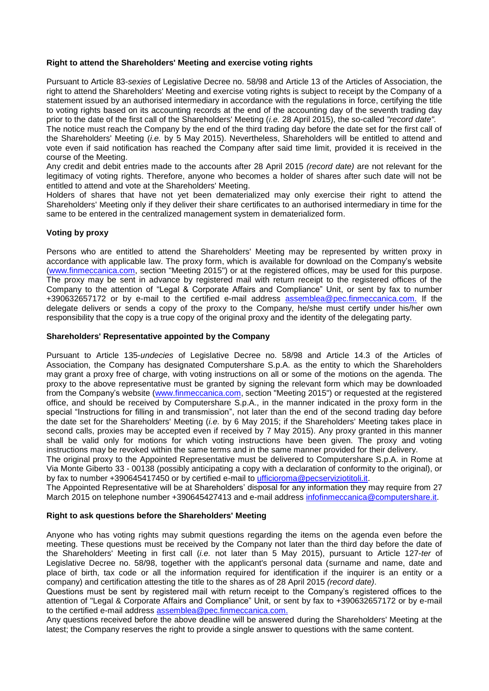## **Right to attend the Shareholders' Meeting and exercise voting rights**

Pursuant to Article 83-*sexies* of Legislative Decree no. 58/98 and Article 13 of the Articles of Association, the right to attend the Shareholders' Meeting and exercise voting rights is subject to receipt by the Company of a statement issued by an authorised intermediary in accordance with the regulations in force, certifying the title to voting rights based on its accounting records at the end of the accounting day of the seventh trading day prior to the date of the first call of the Shareholders' Meeting (*i.e.* 28 April 2015), the so-called *"record date".*

The notice must reach the Company by the end of the third trading day before the date set for the first call of the Shareholders' Meeting (*i.e.* by 5 May 2015). Nevertheless, Shareholders will be entitled to attend and vote even if said notification has reached the Company after said time limit, provided it is received in the course of the Meeting.

Any credit and debit entries made to the accounts after 28 April 2015 *(record date)* are not relevant for the legitimacy of voting rights. Therefore, anyone who becomes a holder of shares after such date will not be entitled to attend and vote at the Shareholders' Meeting.

Holders of shares that have not yet been dematerialized may only exercise their right to attend the Shareholders' Meeting only if they deliver their share certificates to an authorised intermediary in time for the same to be entered in the centralized management system in dematerialized form.

# **Voting by proxy**

Persons who are entitled to attend the Shareholders' Meeting may be represented by written proxy in accordance with applicable law. The proxy form, which is available for download on the Company's website [\(www.finmeccanica.com,](http://www.finmeccanica.com/) section "Meeting 2015") or at the registered offices, may be used for this purpose. The proxy may be sent in advance by registered mail with return receipt to the registered offices of the Company to the attention of "Legal & Corporate Affairs and Compliance" Unit, or sent by fax to number +390632657172 or by e-mail to the certified e-mail address [assemblea@pec.finmeccanica.com.](mailto:assemblea@pec.finmeccanica.com) If the delegate delivers or sends a copy of the proxy to the Company, he/she must certify under his/her own responsibility that the copy is a true copy of the original proxy and the identity of the delegating party.

#### **Shareholders' Representative appointed by the Company**

Pursuant to Article 135-*undecies* of Legislative Decree no. 58/98 and Article 14.3 of the Articles of Association, the Company has designated Computershare S.p.A. as the entity to which the Shareholders may grant a proxy free of charge, with voting instructions on all or some of the motions on the agenda. The proxy to the above representative must be granted by signing the relevant form which may be downloaded from the Company's website [\(www.finmeccanica.com,](http://www.finmeccanica.com/) section "Meeting 2015") or requested at the registered office, [and should b](http://e/)e received by Computershare S.p.A., in the manner indicated in the proxy form in the special "Instructions for filling in and transmission", not later than the end of the second trading day before the date set for the Shareholders' Meeting (*i.e.* by 6 May 2015; if the Shareholders' Meeting takes place in second calls, proxies may be accepted even if received by 7 May 2015). Any proxy granted in this manner shall be valid only for motions for which voting instructions have been given. The proxy and voting instructions may be revoked within the same terms and in the same manner provided for their delivery.

The original proxy to the Appointed Representative must be delivered to Computershare S.p.A. in Rome at Via Monte Giberto 33 - 00138 (possibly anticipating a copy with a declaration of conformity to the original), or by fax to number +390645417450 or by certified e-mail to ufficioroma@pecserviziotitoli.it.

The Appointed Representative will be at Shareholders' disposal for any information they may require from 27 March 2015 on telephone number +390645427413 and e-mail address [infofinmeccanica@computershare.it.](mailto:infofinmeccanica@computershare.it)

### **Right to ask questions before the Shareholders' Meeting**

Anyone who has voting rights may submit questions regarding the items on the agenda even before the meeting. These questions must be received by the Company not later than the third day before the date of the Shareholders' Meeting in first call (*i.e.* not later than 5 May 2015), pursuant to Article 127-*ter* of Legislative Decree no. 58/98, together with the applicant's personal data (surname and name, date and place of birth, tax code or all the information required for identification if the inquirer is an entity or a company) and certification attesting the title to the shares as of 28 April 2015 *(record date)*.

Questions must be sent by registered mail with return receipt to the Company's registered offices to the attention of "Legal & Corporate Affairs and Compliance" Unit, or sent by fax to +390632657172 or by e-mail to the certified e-mail address [assemblea@pec.finmeccanica.com.](mailto:assemblea@pec.finmeccanica.com)

Any questions received before the above deadline will be answered during the Shareholders' Meeting at the latest; the Company reserves the right to provide a single answer to questions with the same content.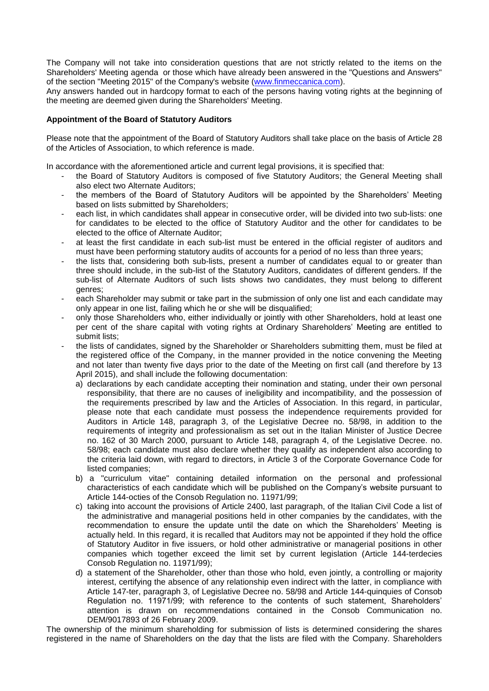The Company will not take into consideration questions that are not strictly related to the items on the Shareholders' Meeting agenda or those which have already been answered in the "Questions and Answers" of the section "Meeting 2015" of the Company's website (www.finmeccanica.com).

Any answers handed out in hardcopy format to each of the persons having voting rights at the beginning of the meeting are deemed given during the Shareholders' Meeting.

# **Appointment of the Board of Statutory Auditors**

Please note that the appointment of the Board of Statutory Auditors shall take place on the basis of Article 28 of the Articles of Association, to which reference is made.

In accordance with the aforementioned article and current legal provisions, it is specified that:

- the Board of Statutory Auditors is composed of five Statutory Auditors; the General Meeting shall also elect two Alternate Auditors;
- the members of the Board of Statutory Auditors will be appointed by the Shareholders' Meeting based on lists submitted by Shareholders;
- each list, in which candidates shall appear in consecutive order, will be divided into two sub-lists: one for candidates to be elected to the office of Statutory Auditor and the other for candidates to be elected to the office of Alternate Auditor;
- at least the first candidate in each sub-list must be entered in the official register of auditors and must have been performing statutory audits of accounts for a period of no less than three years;
- the lists that, considering both sub-lists, present a number of candidates equal to or greater than three should include, in the sub-list of the Statutory Auditors, candidates of different genders. If the sub-list of Alternate Auditors of such lists shows two candidates, they must belong to different genres;
- each Shareholder may submit or take part in the submission of only one list and each candidate may only appear in one list, failing which he or she will be disqualified;
- only those Shareholders who, either individually or jointly with other Shareholders, hold at least one per cent of the share capital with voting rights at Ordinary Shareholders' Meeting are entitled to submit lists;
- the lists of candidates, signed by the Shareholder or Shareholders submitting them, must be filed at the registered office of the Company, in the manner provided in the notice convening the Meeting and not later than twenty five days prior to the date of the Meeting on first call (and therefore by 13 April 2015), and shall include the following documentation:
	- a) declarations by each candidate accepting their nomination and stating, under their own personal responsibility, that there are no causes of ineligibility and incompatibility, and the possession of the requirements prescribed by law and the Articles of Association. In this regard, in particular, please note that each candidate must possess the independence requirements provided for Auditors in Article 148, paragraph 3, of the Legislative Decree no. 58/98, in addition to the requirements of integrity and professionalism as set out in the Italian Minister of Justice Decree no. 162 of 30 March 2000, pursuant to Article 148, paragraph 4, of the Legislative Decree. no. 58/98; each candidate must also declare whether they qualify as independent also according to the criteria laid down, with regard to directors, in Article 3 of the Corporate Governance Code for listed companies;
	- b) a "curriculum vitae" containing detailed information on the personal and professional characteristics of each candidate which will be published on the Company's website pursuant to Article 144-octies of the Consob Regulation no. 11971/99;
	- c) taking into account the provisions of Article 2400, last paragraph, of the Italian Civil Code a list of the administrative and managerial positions held in other companies by the candidates, with the recommendation to ensure the update until the date on which the Shareholders' Meeting is actually held. In this regard, it is recalled that Auditors may not be appointed if they hold the office of Statutory Auditor in five issuers, or hold other administrative or managerial positions in other companies which together exceed the limit set by current legislation (Article 144-terdecies Consob Regulation no. 11971/99);
	- d) a statement of the Shareholder, other than those who hold, even jointly, a controlling or majority interest, certifying the absence of any relationship even indirect with the latter, in compliance with Article 147-ter, paragraph 3, of Legislative Decree no. 58/98 and Article 144-quinquies of Consob Regulation no. 11971/99; with reference to the contents of such statement, Shareholders' attention is drawn on recommendations contained in the Consob Communication no. DEM/9017893 of 26 February 2009.

The ownership of the minimum shareholding for submission of lists is determined considering the shares registered in the name of Shareholders on the day that the lists are filed with the Company. Shareholders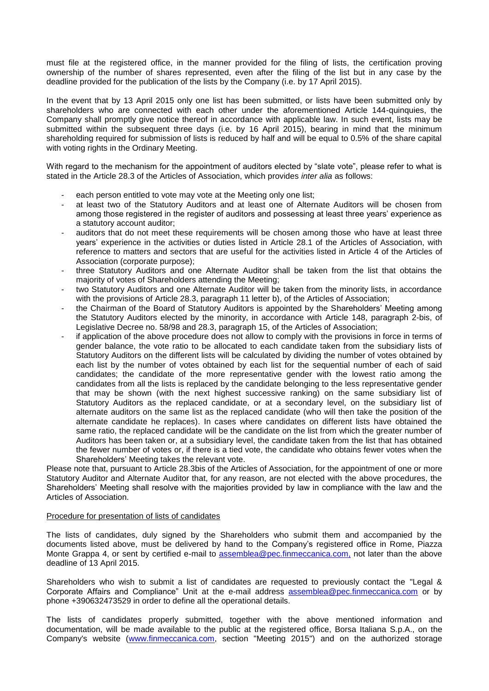must file at the registered office, in the manner provided for the filing of lists, the certification proving ownership of the number of shares represented, even after the filing of the list but in any case by the deadline provided for the publication of the lists by the Company (i.e. by 17 April 2015).

In the event that by 13 April 2015 only one list has been submitted, or lists have been submitted only by shareholders who are connected with each other under the aforementioned Article 144-quinquies, the Company shall promptly give notice thereof in accordance with applicable law. In such event, lists may be submitted within the subsequent three days (i.e. by 16 April 2015), bearing in mind that the minimum shareholding required for submission of lists is reduced by half and will be equal to 0.5% of the share capital with voting rights in the Ordinary Meeting.

With regard to the mechanism for the appointment of auditors elected by "slate vote", please refer to what is stated in the Article 28.3 of the Articles of Association, which provides *inter alia* as follows:

- each person entitled to vote may vote at the Meeting only one list;
- at least two of the Statutory Auditors and at least one of Alternate Auditors will be chosen from among those registered in the register of auditors and possessing at least three years' experience as a statutory account auditor;
- auditors that do not meet these requirements will be chosen among those who have at least three years' experience in the activities or duties listed in Article 28.1 of the Articles of Association, with reference to matters and sectors that are useful for the activities listed in Article 4 of the Articles of Association (corporate purpose);
- three Statutory Auditors and one Alternate Auditor shall be taken from the list that obtains the majority of votes of Shareholders attending the Meeting;
- two Statutory Auditors and one Alternate Auditor will be taken from the minority lists, in accordance with the provisions of Article 28.3, paragraph 11 letter b), of the Articles of Association;
- the Chairman of the Board of Statutory Auditors is appointed by the Shareholders' Meeting among the Statutory Auditors elected by the minority, in accordance with Article 148, paragraph 2-bis, of Legislative Decree no. 58/98 and 28.3, paragraph 15, of the Articles of Association;
- if application of the above procedure does not allow to comply with the provisions in force in terms of gender balance, the vote ratio to be allocated to each candidate taken from the subsidiary lists of Statutory Auditors on the different lists will be calculated by dividing the number of votes obtained by each list by the number of votes obtained by each list for the sequential number of each of said candidates; the candidate of the more representative gender with the lowest ratio among the candidates from all the lists is replaced by the candidate belonging to the less representative gender that may be shown (with the next highest successive ranking) on the same subsidiary list of Statutory Auditors as the replaced candidate, or at a secondary level, on the subsidiary list of alternate auditors on the same list as the replaced candidate (who will then take the position of the alternate candidate he replaces). In cases where candidates on different lists have obtained the same ratio, the replaced candidate will be the candidate on the list from which the greater number of Auditors has been taken or, at a subsidiary level, the candidate taken from the list that has obtained the fewer number of votes or, if there is a tied vote, the candidate who obtains fewer votes when the Shareholders' Meeting takes the relevant vote.

Please note that, pursuant to Article 28.3bis of the Articles of Association, for the appointment of one or more Statutory Auditor and Alternate Auditor that, for any reason, are not elected with the above procedures, the Shareholders' Meeting shall resolve with the majorities provided by law in compliance with the law and the Articles of Association.

### Procedure for presentation of lists of candidates

The lists of candidates, duly signed by the Shareholders who submit them and accompanied by the documents listed above, must be delivered by hand to the Company's registered office in Rome, Piazza Monte Grappa 4, or sent by certified e-mail to [assemblea@pec.finmeccanica.com,](mailto:assemblea@pec.finmeccanica.com) not later than the above deadline of 13 April 2015.

Shareholders who wish to submit a list of candidates are requested to previously contact the "Legal & Corporate Affairs and Compliance" Unit at the e-mail address [assemblea@pec.finmeccanica.com](mailto:assemblea@pec.finmeccanica.com) or by phone +390632473529 in order to define all the operational details.

The lists of candidates properly submitted, together with the above mentioned information and documentation, will be made available to the public at the registered office, Borsa Italiana S.p.A., on the Company's website [\(www.finmeccanica.com,](http://www.finmeccanica.com/) section "Meeting 2015") and on the authorized storage